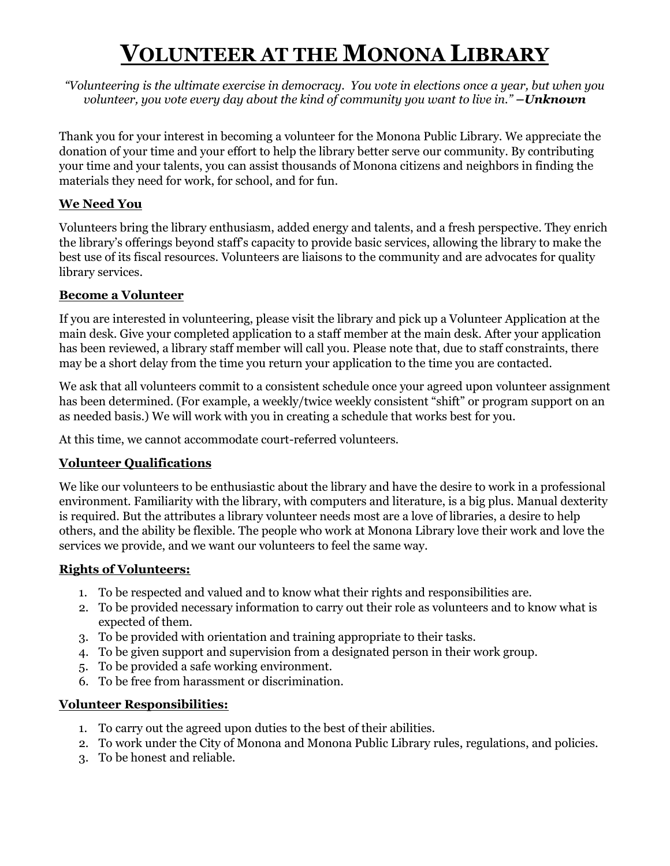# **VOLUNTEER AT THE MONONA LIBRARY**

*"Volunteering is the ultimate exercise in democracy. You vote in elections once a year, but when you volunteer, you vote every day about the kind of community you want to live in." –Unknown*

Thank you for your interest in becoming a volunteer for the Monona Public Library. We appreciate the donation of your time and your effort to help the library better serve our community. By contributing your time and your talents, you can assist thousands of Monona citizens and neighbors in finding the materials they need for work, for school, and for fun.

### **We Need You**

Volunteers bring the library enthusiasm, added energy and talents, and a fresh perspective. They enrich the library's offerings beyond staff's capacity to provide basic services, allowing the library to make the best use of its fiscal resources. Volunteers are liaisons to the community and are advocates for quality library services.

#### **Become a Volunteer**

If you are interested in volunteering, please visit the library and pick up a Volunteer Application at the main desk. Give your completed application to a staff member at the main desk. After your application has been reviewed, a library staff member will call you. Please note that, due to staff constraints, there may be a short delay from the time you return your application to the time you are contacted.

We ask that all volunteers commit to a consistent schedule once your agreed upon volunteer assignment has been determined. (For example, a weekly/twice weekly consistent "shift" or program support on an as needed basis.) We will work with you in creating a schedule that works best for you.

At this time, we cannot accommodate court-referred volunteers.

#### **Volunteer Qualifications**

We like our volunteers to be enthusiastic about the library and have the desire to work in a professional environment. Familiarity with the library, with computers and literature, is a big plus. Manual dexterity is required. But the attributes a library volunteer needs most are a love of libraries, a desire to help others, and the ability be flexible. The people who work at Monona Library love their work and love the services we provide, and we want our volunteers to feel the same way.

#### **Rights of Volunteers:**

- 1. To be respected and valued and to know what their rights and responsibilities are.
- 2. To be provided necessary information to carry out their role as volunteers and to know what is expected of them.
- 3. To be provided with orientation and training appropriate to their tasks.
- 4. To be given support and supervision from a designated person in their work group.
- 5. To be provided a safe working environment.
- 6. To be free from harassment or discrimination.

#### **Volunteer Responsibilities:**

- 1. To carry out the agreed upon duties to the best of their abilities.
- 2. To work under the City of Monona and Monona Public Library rules, regulations, and policies.
- 3. To be honest and reliable.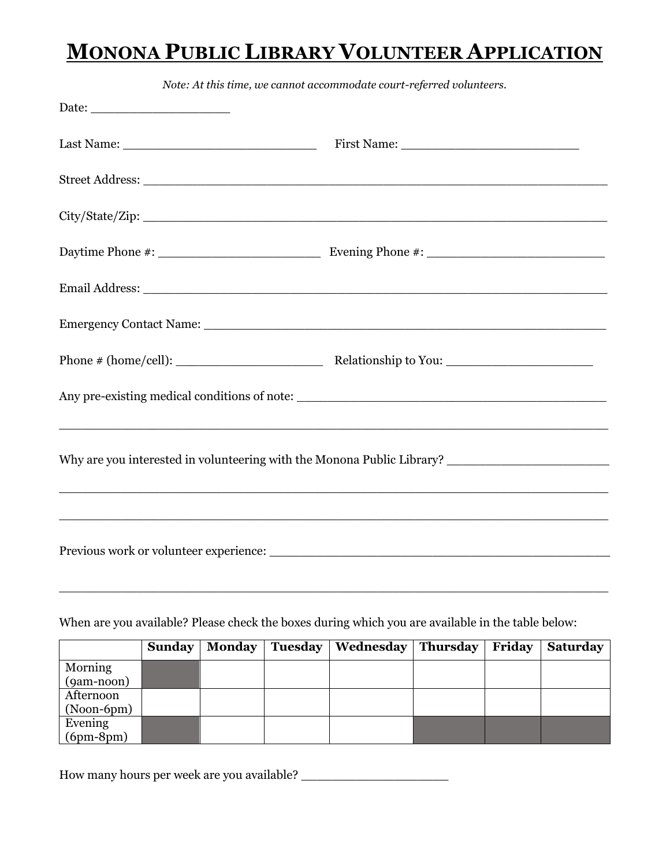## **MONONA PUBLIC LIBRARY VOLUNTEER APPLICATION**

| Note: At this time, we cannot accommodate court-referred volunteers.                                                                                                                                                          |                                              |  |  |
|-------------------------------------------------------------------------------------------------------------------------------------------------------------------------------------------------------------------------------|----------------------------------------------|--|--|
|                                                                                                                                                                                                                               |                                              |  |  |
|                                                                                                                                                                                                                               |                                              |  |  |
|                                                                                                                                                                                                                               |                                              |  |  |
|                                                                                                                                                                                                                               |                                              |  |  |
|                                                                                                                                                                                                                               |                                              |  |  |
|                                                                                                                                                                                                                               |                                              |  |  |
|                                                                                                                                                                                                                               |                                              |  |  |
|                                                                                                                                                                                                                               |                                              |  |  |
|                                                                                                                                                                                                                               | Any pre-existing medical conditions of note: |  |  |
| Why are you interested in volunteering with the Monona Public Library? _____________________________<br><u> 1989 - Johann John Stone, market ar yn y brenin y brenin y brenin y brenin y brenin y brenin y brenin y breni</u> |                                              |  |  |
|                                                                                                                                                                                                                               |                                              |  |  |

When are you available? Please check the boxes during which you are available in the table below:

|              | <b>Sunday</b> | <b>Monday</b> | <b>Tuesday</b> | Wednesday | <b>Thursday</b> | Friday | <b>Saturday</b> |
|--------------|---------------|---------------|----------------|-----------|-----------------|--------|-----------------|
| Morning      |               |               |                |           |                 |        |                 |
| $(gam-noon)$ |               |               |                |           |                 |        |                 |
| Afternoon    |               |               |                |           |                 |        |                 |
| (Noon-6pm)   |               |               |                |           |                 |        |                 |
| Evening      |               |               |                |           |                 |        |                 |
| $(6pm-8pm)$  |               |               |                |           |                 |        |                 |

How many hours per week are you available? \_\_\_\_\_\_\_\_\_\_\_\_\_\_\_\_\_\_\_